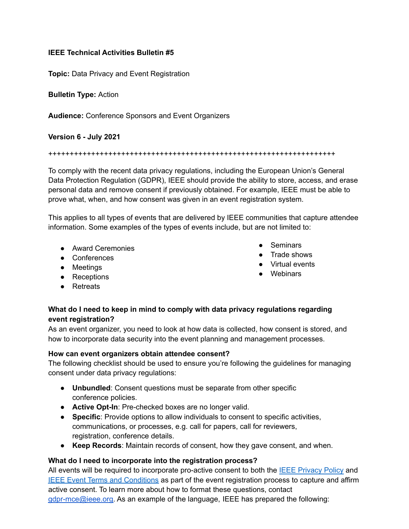# **IEEE Technical Activities Bulletin #5**

**Topic:** Data Privacy and Event Registration

**Bulletin Type:** Action

**Audience:** Conference Sponsors and Event Organizers

**Version 6 - July 2021**

+++++++++++++++++++++++++++++++++++++++++++++++++++++++++++++++++++

To comply with the recent data privacy regulations, including the European Union's General Data Protection Regulation (GDPR), IEEE should provide the ability to store, access, and erase personal data and remove consent if previously obtained. For example, IEEE must be able to prove what, when, and how consent was given in an event registration system.

This applies to all types of events that are delivered by IEEE communities that capture attendee information. Some examples of the types of events include, but are not limited to:

- Award Ceremonies
- Conferences
- Meetings
- Receptions
- Retreats

## • Seminars

- Trade shows
- Virtual events
- Webinars

## **What do I need to keep in mind to comply with data privacy regulations regarding event registration?**

As an event organizer, you need to look at how data is collected, how consent is stored, and how to incorporate data security into the event planning and management processes.

## **How can event organizers obtain attendee consent?**

The following checklist should be used to ensure you're following the guidelines for managing consent under data privacy regulations:

- **Unbundled**: Consent questions must be separate from other specific conference policies.
- **Active Opt-In**: Pre-checked boxes are no longer valid.
- **Specific**: Provide options to allow individuals to consent to specific activities, communications, or processes, e.g. call for papers, call for reviewers, registration, conference details.
- **Keep Records**: Maintain records of consent, how they gave consent, and when.

## **What do I need to incorporate into the registration process?**

All events will be required to incorporate pro-active consent to both the **IEEE [Privacy](https://www.ieee.org/security-privacy.html) Policy** and IEEE Event Terms and [Conditions](https://www.ieee.org/conferences/event-terms-and-conditions.html) as part of the event registration process to capture and affirm active consent. To learn more about how to format these questions, contact [gdpr-mce@ieee.org.](mailto:gdpr-mce@ieee.org) As an example of the language, IEEE has prepared the following: